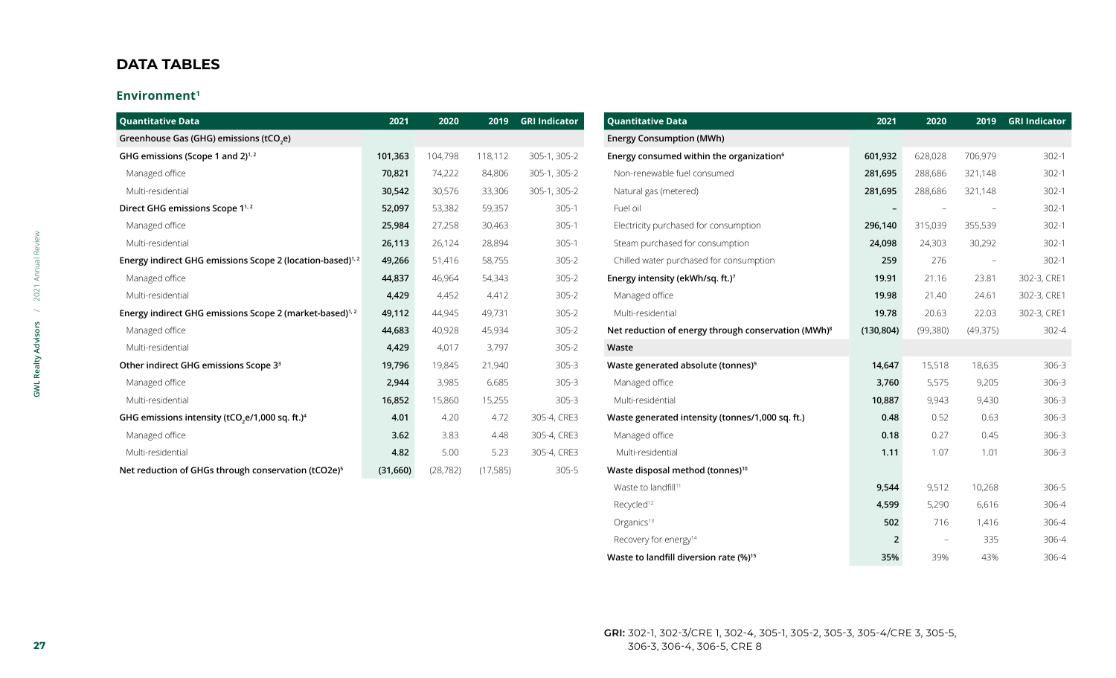#### **Environment1**

| <b>Quantitative Data</b>                                                | 2021     | 2020      | 2019      | <b>GRI Indicator</b> | <b>Quantitative Data</b>                                        | 2021                     | 2020                     | 2019                     | <b>GRI Indicator</b> |
|-------------------------------------------------------------------------|----------|-----------|-----------|----------------------|-----------------------------------------------------------------|--------------------------|--------------------------|--------------------------|----------------------|
| Greenhouse Gas (GHG) emissions (tCO <sub>2</sub> e)                     |          |           |           |                      | <b>Energy Consumption (MWh)</b>                                 |                          |                          |                          |                      |
| GHG emissions (Scope 1 and 2) <sup>1,2</sup>                            | 101,363  | 104,798   | 118,112   | 305-1, 305-2         | Energy consumed within the organization <sup>6</sup>            | 601,932                  | 628,028                  | 706,979                  | $302 - 1$            |
| Managed office                                                          | 70,821   | 74,222    | 84,806    | 305-1, 305-2         | Non-renewable fuel consumed                                     | 281,695                  | 288,686                  | 321,148                  | $302-1$              |
| Multi-residential                                                       | 30,542   | 30,576    | 33,306    | 305-1, 305-2         | Natural gas (metered)                                           | 281,695                  | 288,686                  | 321,148                  | $302-1$              |
| Direct GHG emissions Scope 1 <sup>1,2</sup>                             | 52,097   | 53,382    | 59,357    | $305-1$              | Fuel oil                                                        | $\overline{\phantom{a}}$ |                          |                          | $302-1$              |
| Managed office                                                          | 25,984   | 27,258    | 30,463    | $305-1$              | Electricity purchased for consumption                           | 296,140                  | 315,039                  | 355,539                  | $302-1$              |
| Multi-residential                                                       | 26,113   | 26,124    | 28,894    | $305-1$              | Steam purchased for consumption                                 | 24,098                   | 24,303                   | 30,292                   | $302 - 1$            |
| Energy indirect GHG emissions Scope 2 (location-based) <sup>1,2</sup>   | 49,266   | 51,416    | 58,755    | $305 - 2$            | Chilled water purchased for consumption                         | 259                      | 276                      | $\overline{\phantom{a}}$ | $302-1$              |
| Managed office                                                          | 44,837   | 46,964    | 54,343    | $305 - 2$            | Energy intensity (ekWh/sq. ft.)7                                | 19.91                    | 21.16                    | 23.81                    | 302-3, CRE1          |
| Multi-residential                                                       | 4,429    | 4,452     | 4,412     | $305 - 2$            | Managed office                                                  | 19.98                    | 21.40                    | 24.61                    | 302-3, CRE1          |
| Energy indirect GHG emissions Scope 2 (market-based) <sup>1,2</sup>     | 49,112   | 44,945    | 49,731    | $305 - 2$            | Multi-residential                                               | 19.78                    | 20.63                    | 22.03                    | 302-3, CRE1          |
| Managed office                                                          | 44,683   | 40,928    | 45,934    | $305 - 2$            | Net reduction of energy through conservation (MWh) <sup>8</sup> | (130, 804)               | (99, 380)                | (49,375)                 | 302-4                |
| Multi-residential                                                       | 4,429    | 4,017     | 3,797     | $305 - 2$            | Waste                                                           |                          |                          |                          |                      |
| Other indirect GHG emissions Scope 3 <sup>3</sup>                       | 19,796   | 19,845    | 21,940    | $305 - 3$            | Waste generated absolute (tonnes) <sup>9</sup>                  | 14,647                   | 15,518                   | 18,635                   | 306-3                |
| Managed office                                                          | 2,944    | 3,985     | 6,685     | $305 - 3$            | Managed office                                                  | 3,760                    | 5,575                    | 9,205                    | 306-3                |
| Multi-residential                                                       | 16,852   | 15,860    | 15,255    | $305 - 3$            | Multi-residential                                               | 10,887                   | 9,943                    | 9,430                    | $306 - 3$            |
| GHG emissions intensity (tCO <sub>2</sub> e/1,000 sq. ft.) <sup>4</sup> | 4.01     | 4.20      | 4.72      | 305-4, CRE3          | Waste generated intensity (tonnes/1,000 sq. ft.)                | 0.48                     | 0.52                     | 0.63                     | 306-3                |
| Managed office                                                          | 3.62     | 3.83      | 4.48      | 305-4, CRE3          | Managed office                                                  | 0.18                     | 0.27                     | 0.45                     | $306-3$              |
| Multi-residential                                                       | 4.82     | 5.00      | 5.23      | 305-4, CRE3          | Multi-residential                                               | 1.11                     | 1.07                     | 1.01                     | 306-3                |
| Net reduction of GHGs through conservation (tCO2e) <sup>5</sup>         | (31,660) | (28, 782) | (17, 585) | 305-5                | Waste disposal method (tonnes) <sup>10</sup>                    |                          |                          |                          |                      |
|                                                                         |          |           |           |                      | Waste to landfill <sup>11</sup>                                 | 9,544                    | 9,512                    | 10,268                   | 306-5                |
|                                                                         |          |           |           |                      | Recycled <sup>12</sup>                                          | 4,599                    | 5,290                    | 6,616                    | 306-4                |
|                                                                         |          |           |           |                      | Organics <sup>13</sup>                                          | 502                      | 716                      | 1,416                    | 306-4                |
|                                                                         |          |           |           |                      | Recovery for energy <sup>14</sup>                               | $\overline{2}$           | $\overline{\phantom{a}}$ | 335                      | 306-4                |

**Waste to landfill diversion rate (%)<sup>15</sup> 135% 35%** 39% 43% 306-4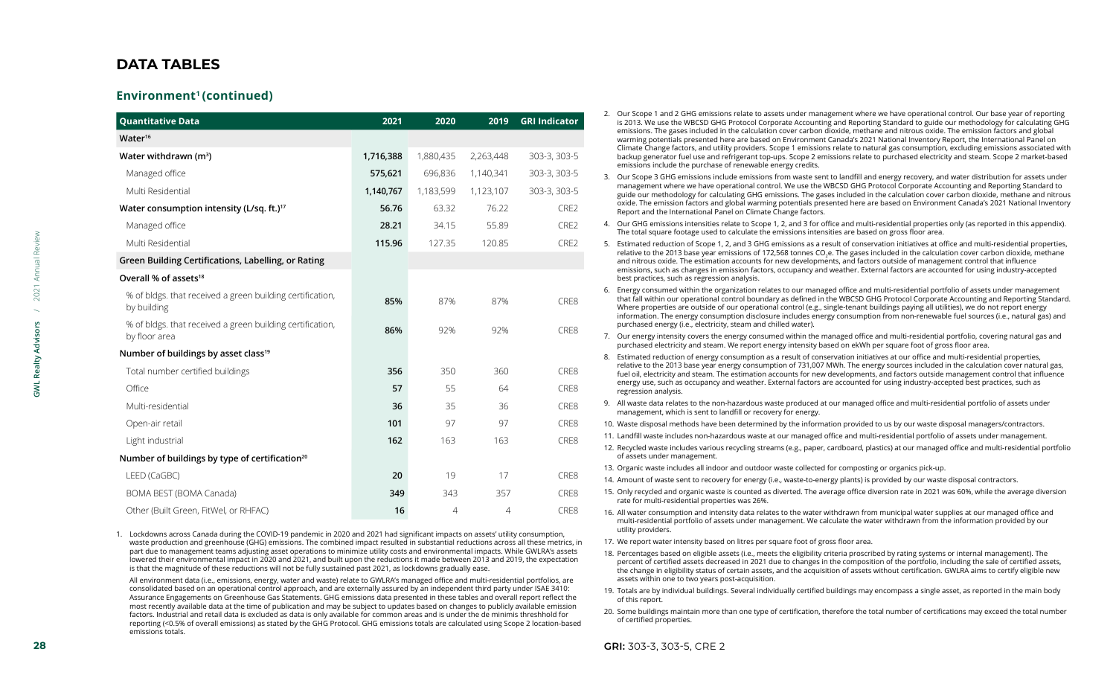#### Environment<sup>1</sup> (continued)

|                            | <b>Quantitative Data</b>                                                                                                                                                                                                                                                                                                                                                                                                                      | 2021      | 2020      |           | 2019 GRI Indicator                                                                                                                                                                                                                                                                                                                                                                                                                   | 2. Our Scope 1 and 2 GHG emissions relate to assets under management where we have operational control. Our base year of reporting<br>is 2013. We use the WBCSD GHG Protocol Corporate Accounting and Reporting Standard to guide our methodology for calculating GHG                                                                                                                                                                                                                                                                                        |
|----------------------------|-----------------------------------------------------------------------------------------------------------------------------------------------------------------------------------------------------------------------------------------------------------------------------------------------------------------------------------------------------------------------------------------------------------------------------------------------|-----------|-----------|-----------|--------------------------------------------------------------------------------------------------------------------------------------------------------------------------------------------------------------------------------------------------------------------------------------------------------------------------------------------------------------------------------------------------------------------------------------|--------------------------------------------------------------------------------------------------------------------------------------------------------------------------------------------------------------------------------------------------------------------------------------------------------------------------------------------------------------------------------------------------------------------------------------------------------------------------------------------------------------------------------------------------------------|
|                            | Water <sup>16</sup>                                                                                                                                                                                                                                                                                                                                                                                                                           |           |           |           |                                                                                                                                                                                                                                                                                                                                                                                                                                      | emissions. The gases included in the calculation cover carbon dioxide, methane and nitrous oxide. The emission factors and global<br>warming potentials presented here are based on Environment Canada's 2021 National Inventory Report, the International Panel on                                                                                                                                                                                                                                                                                          |
|                            | Water withdrawn $(m^3)$                                                                                                                                                                                                                                                                                                                                                                                                                       | 1,716,388 | 1,880,435 | 2,263,448 | 303-3, 303-5                                                                                                                                                                                                                                                                                                                                                                                                                         | Climate Change factors, and utility providers. Scope 1 emissions relate to natural gas consumption, excluding emissions associated with<br>backup generator fuel use and refrigerant top-ups. Scope 2 emissions relate to purchased electricity and steam. Scope 2 market-based<br>emissions include the purchase of renewable energy credits.                                                                                                                                                                                                               |
|                            | Managed office                                                                                                                                                                                                                                                                                                                                                                                                                                | 575,621   | 696,836   | 1,140,341 | 303-3, 303-5                                                                                                                                                                                                                                                                                                                                                                                                                         | 3. Our Scope 3 GHG emissions include emissions from waste sent to landfill and energy recovery, and water distribution for assets under                                                                                                                                                                                                                                                                                                                                                                                                                      |
|                            | Multi Residential                                                                                                                                                                                                                                                                                                                                                                                                                             | 1,140,767 | 1,183,599 | 1,123,107 | 303-3, 303-5                                                                                                                                                                                                                                                                                                                                                                                                                         | management where we have operational control. We use the WBCSD GHG Protocol Corporate Accounting and Reporting Standard to<br>guide our methodology for calculating GHG emissions. The gases included in the calculation cover carbon dioxide, methane and nitrous                                                                                                                                                                                                                                                                                           |
|                            | Water consumption intensity (L/sq. ft.) <sup>17</sup>                                                                                                                                                                                                                                                                                                                                                                                         | 56.76     | 63.32     | 76.22     | CRE2                                                                                                                                                                                                                                                                                                                                                                                                                                 | oxide. The emission factors and global warming potentials presented here are based on Environment Canada's 2021 National Inventory<br>Report and the International Panel on Climate Change factors.                                                                                                                                                                                                                                                                                                                                                          |
|                            | Managed office                                                                                                                                                                                                                                                                                                                                                                                                                                | 28.21     | 34.15     | 55.89     | CRE2                                                                                                                                                                                                                                                                                                                                                                                                                                 | 4. Our GHG emissions intensities relate to Scope 1, 2, and 3 for office and multi-residential properties only (as reported in this appendix).<br>The total square footage used to calculate the emissions intensities are based on gross floor area.                                                                                                                                                                                                                                                                                                         |
| 2021 Annual Review         | Multi Residential                                                                                                                                                                                                                                                                                                                                                                                                                             | 115.96    | 127.35    | 120.85    | CRE2                                                                                                                                                                                                                                                                                                                                                                                                                                 | 5. Estimated reduction of Scope 1, 2, and 3 GHG emissions as a result of conservation initiatives at office and multi-residential properties,                                                                                                                                                                                                                                                                                                                                                                                                                |
|                            | Green Building Certifications, Labelling, or Rating                                                                                                                                                                                                                                                                                                                                                                                           |           |           |           |                                                                                                                                                                                                                                                                                                                                                                                                                                      | relative to the 2013 base year emissions of 172,568 tonnes CO <sub>2</sub> e. The gases included in the calculation cover carbon dioxide, methane<br>and nitrous oxide. The estimation accounts for new developments, and factors outside of management control that influence                                                                                                                                                                                                                                                                               |
|                            | Overall % of assets <sup>18</sup>                                                                                                                                                                                                                                                                                                                                                                                                             |           |           |           |                                                                                                                                                                                                                                                                                                                                                                                                                                      | emissions, such as changes in emission factors, occupancy and weather. External factors are accounted for using industry-accepted<br>best practices, such as regression analysis.                                                                                                                                                                                                                                                                                                                                                                            |
|                            | % of bldgs, that received a green building certification,<br>by building                                                                                                                                                                                                                                                                                                                                                                      | 85%       | 87%       | 87%       | CRE8                                                                                                                                                                                                                                                                                                                                                                                                                                 | Energy consumed within the organization relates to our managed office and multi-residential portfolio of assets under management<br>6.<br>that fall within our operational control boundary as defined in the WBCSD GHG Protocol Corporate Accounting and Reporting Standard.<br>Where properties are outside of our operational control (e.g., single-tenant buildings paying all utilities), we do not report energy<br>information. The energy consumption disclosure includes energy consumption from non-renewable fuel sources (i.e., natural gas) and |
| <b>GWL Realty Advisors</b> | % of bldgs, that received a green building certification,<br>by floor area                                                                                                                                                                                                                                                                                                                                                                    | 86%       | 92%       | 92%       | CRE8                                                                                                                                                                                                                                                                                                                                                                                                                                 | purchased energy (i.e., electricity, steam and chilled water).<br>7. Our energy intensity covers the energy consumed within the managed office and multi-residential portfolio, covering natural gas and<br>purchased electricity and steam. We report energy intensity based on ekWh per square foot of gross floor area.                                                                                                                                                                                                                                   |
|                            | Number of buildings by asset class <sup>19</sup>                                                                                                                                                                                                                                                                                                                                                                                              |           |           |           |                                                                                                                                                                                                                                                                                                                                                                                                                                      | 8. Estimated reduction of energy consumption as a result of conservation initiatives at our office and multi-residential properties,                                                                                                                                                                                                                                                                                                                                                                                                                         |
|                            | Total number certified buildings                                                                                                                                                                                                                                                                                                                                                                                                              | 356       | 350       | 360       | CRE8                                                                                                                                                                                                                                                                                                                                                                                                                                 | relative to the 2013 base year energy consumption of 731,007 MWh. The energy sources included in the calculation cover natural gas,<br>fuel oil, electricity and steam. The estimation accounts for new developments, and factors outside management control that influence                                                                                                                                                                                                                                                                                  |
|                            | Office                                                                                                                                                                                                                                                                                                                                                                                                                                        | 57        | 55        | 64        | CRE8                                                                                                                                                                                                                                                                                                                                                                                                                                 | energy use, such as occupancy and weather. External factors are accounted for using industry-accepted best practices, such as<br>regression analysis.                                                                                                                                                                                                                                                                                                                                                                                                        |
|                            | Multi-residential                                                                                                                                                                                                                                                                                                                                                                                                                             | 36        | 35        | 36        | CRE8                                                                                                                                                                                                                                                                                                                                                                                                                                 | 9. All waste data relates to the non-hazardous waste produced at our managed office and multi-residential portfolio of assets under<br>management, which is sent to landfill or recovery for energy.                                                                                                                                                                                                                                                                                                                                                         |
|                            | Open-air retail                                                                                                                                                                                                                                                                                                                                                                                                                               | 101       | 97        | 97        | CRE8                                                                                                                                                                                                                                                                                                                                                                                                                                 | 10. Waste disposal methods have been determined by the information provided to us by our waste disposal managers/contractors.                                                                                                                                                                                                                                                                                                                                                                                                                                |
|                            | Light industrial                                                                                                                                                                                                                                                                                                                                                                                                                              | 162       | 163       | 163       | CRE8                                                                                                                                                                                                                                                                                                                                                                                                                                 | 11. Landfill waste includes non-hazardous waste at our managed office and multi-residential portfolio of assets under management.                                                                                                                                                                                                                                                                                                                                                                                                                            |
|                            | Number of buildings by type of certification <sup>20</sup>                                                                                                                                                                                                                                                                                                                                                                                    |           |           |           |                                                                                                                                                                                                                                                                                                                                                                                                                                      | 12. Recycled waste includes various recycling streams (e.g., paper, cardboard, plastics) at our managed office and multi-residential portfolio<br>of assets under management.                                                                                                                                                                                                                                                                                                                                                                                |
|                            |                                                                                                                                                                                                                                                                                                                                                                                                                                               |           | 19        | 17        | CRE8                                                                                                                                                                                                                                                                                                                                                                                                                                 | 13. Organic waste includes all indoor and outdoor waste collected for composting or organics pick-up.                                                                                                                                                                                                                                                                                                                                                                                                                                                        |
|                            | LEED (CaGBC)                                                                                                                                                                                                                                                                                                                                                                                                                                  | 20        |           |           |                                                                                                                                                                                                                                                                                                                                                                                                                                      | 14. Amount of waste sent to recovery for energy (i.e., waste-to-energy plants) is provided by our waste disposal contractors.                                                                                                                                                                                                                                                                                                                                                                                                                                |
|                            | BOMA BEST (BOMA Canada)                                                                                                                                                                                                                                                                                                                                                                                                                       | 349       | 343       | 357       | CRE8                                                                                                                                                                                                                                                                                                                                                                                                                                 | 15. Only recycled and organic waste is counted as diverted. The average office diversion rate in 2021 was 60%, while the average diversion<br>rate for multi-residential properties was 26%.                                                                                                                                                                                                                                                                                                                                                                 |
|                            | Other (Built Green, FitWel, or RHFAC)                                                                                                                                                                                                                                                                                                                                                                                                         | 16        | $\Delta$  | $\Delta$  | 16. All water consumption and intensity data relates to the water withdrawn from municipal water supplies at our managed office and<br>multi-residential portfolio of assets under management. We calculate the water withdrawn from the information provided by our<br>utility providers.                                                                                                                                           |                                                                                                                                                                                                                                                                                                                                                                                                                                                                                                                                                              |
|                            | 1. Lockdowns across Canada during the COVID-19 pandemic in 2020 and 2021 had significant impacts on assets' utility consumption,<br>waste production and greenhouse (GHG) emissions. The combined impact resulted in substantial reductions across all these metrics, in                                                                                                                                                                      |           |           |           | 17. We report water intensity based on litres per square foot of gross floor area.                                                                                                                                                                                                                                                                                                                                                   |                                                                                                                                                                                                                                                                                                                                                                                                                                                                                                                                                              |
|                            | part due to management teams adjusting asset operations to minimize utility costs and environmental impacts. While GWLRA's assets<br>lowered their environmental impact in 2020 and 2021, and built upon the reductions it made between 2013 and 2019, the expectation<br>is that the magnitude of these reductions will not be fully sustained past 2021, as lockdowns gradually ease.                                                       |           |           |           | 18. Percentages based on eligible assets (i.e., meets the eligibility criteria proscribed by rating systems or internal management). The<br>percent of certified assets decreased in 2021 due to changes in the composition of the portfolio, including the sale of certified assets,<br>the change in eligibility status of certain assets, and the acquisition of assets without certification. GWLRA aims to certify eligible new |                                                                                                                                                                                                                                                                                                                                                                                                                                                                                                                                                              |
|                            | All environment data (i.e., emissions, energy, water and waste) relate to GWLRA's managed office and multi-residential portfolios, are<br>consolidated based on an operational control approach, and are externally assured by an independent third party under ISAE 3410:<br>Assurance Engagements on Greenhouse Gas Statements. GHG emissions data presented in these tables and overall report reflect the                                 |           |           |           | assets within one to two years post-acquisition.<br>19. Totals are by individual buildings. Several individually certified buildings may encompass a single asset, as reported in the main body<br>of this report.                                                                                                                                                                                                                   |                                                                                                                                                                                                                                                                                                                                                                                                                                                                                                                                                              |
|                            | most recently available data at the time of publication and may be subject to updates based on changes to publicly available emission<br>factors. Industrial and retail data is excluded as data is only available for common areas and is under the de minimis threshhold for<br>reporting (<0.5% of overall emissions) as stated by the GHG Protocol. GHG emissions totals are calculated using Scope 2 location-based<br>emissions totals. |           |           |           |                                                                                                                                                                                                                                                                                                                                                                                                                                      | 20. Some buildings maintain more than one type of certification, therefore the total number of certifications may exceed the total number<br>of certified properties.                                                                                                                                                                                                                                                                                                                                                                                        |
| 28                         |                                                                                                                                                                                                                                                                                                                                                                                                                                               |           |           |           |                                                                                                                                                                                                                                                                                                                                                                                                                                      | GRI: 303-3, 303-5, CRE 2                                                                                                                                                                                                                                                                                                                                                                                                                                                                                                                                     |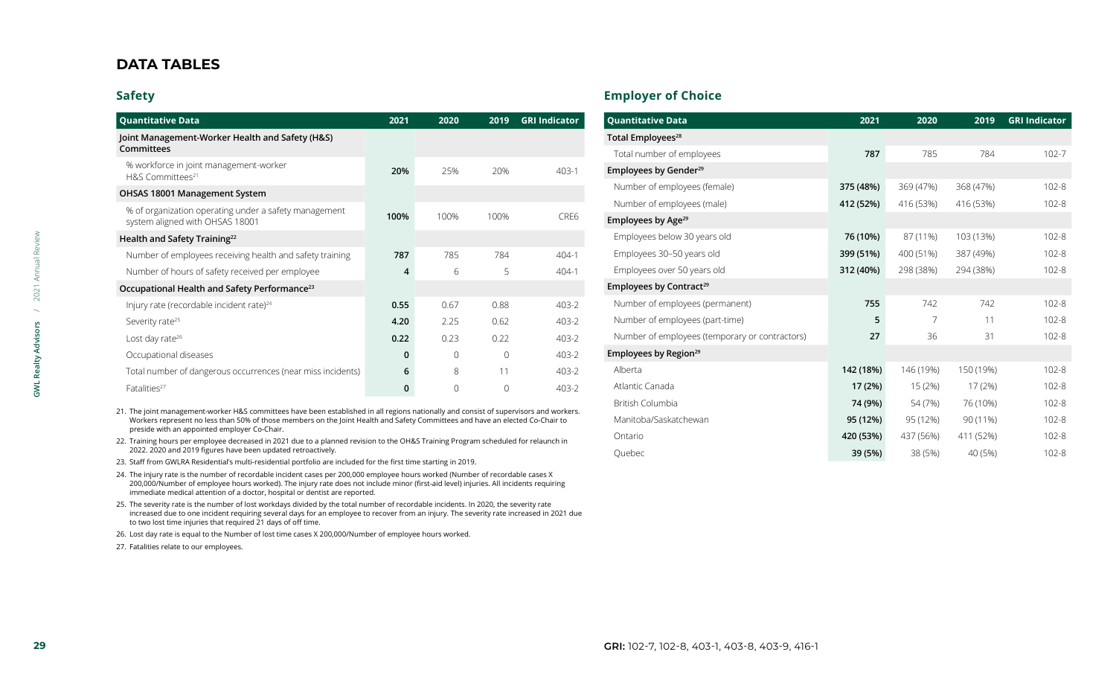### **Safety**

|                            | <b>Quantitative Data</b>                                                                                                                                                                                                                                                                                                                             | 2021        | 2020        | 2019        | <b>GRI Indicator</b> | <b>Quantitative Data</b>                       |
|----------------------------|------------------------------------------------------------------------------------------------------------------------------------------------------------------------------------------------------------------------------------------------------------------------------------------------------------------------------------------------------|-------------|-------------|-------------|----------------------|------------------------------------------------|
|                            | Joint Management-Worker Health and Safety (H&S)                                                                                                                                                                                                                                                                                                      |             |             |             |                      | Total Employees <sup>28</sup>                  |
|                            | <b>Committees</b>                                                                                                                                                                                                                                                                                                                                    |             |             |             |                      | Total number of employees                      |
|                            | % workforce in joint management-worker<br>H&S Committees <sup>21</sup>                                                                                                                                                                                                                                                                               | 20%         | 25%         | 20%         | $403-1$              | Employees by Gender <sup>29</sup>              |
|                            | OHSAS 18001 Management System                                                                                                                                                                                                                                                                                                                        |             |             |             |                      | Number of employees (female)                   |
|                            | % of organization operating under a safety management                                                                                                                                                                                                                                                                                                |             |             |             |                      | Number of employees (male)                     |
|                            | system aligned with OHSAS 18001                                                                                                                                                                                                                                                                                                                      | 100%        | 100%        | 100%        | CRE6                 | Employees by Age <sup>29</sup>                 |
|                            | Health and Safety Training <sup>22</sup>                                                                                                                                                                                                                                                                                                             |             |             |             |                      | Employees below 30 years old                   |
|                            | Number of employees receiving health and safety training                                                                                                                                                                                                                                                                                             | 787         | 785         | 784         | 404-1                | Employees 30-50 years old                      |
|                            | Number of hours of safety received per employee                                                                                                                                                                                                                                                                                                      | 4           | 6           | 5           | 404-1                | Employees over 50 years old                    |
| / 2021 Annual Review       | Occupational Health and Safety Performance <sup>23</sup>                                                                                                                                                                                                                                                                                             |             |             |             |                      | Employees by Contract <sup>29</sup>            |
|                            | Injury rate (recordable incident rate) <sup>24</sup>                                                                                                                                                                                                                                                                                                 | 0.55        | 0.67        | 0.88        | 403-2                | Number of employees (permanent)                |
|                            | Severity rate <sup>25</sup>                                                                                                                                                                                                                                                                                                                          | 4.20        | 2.25        | 0.62        | 403-2                | Number of employees (part-time)                |
|                            | Lost day rate <sup>26</sup>                                                                                                                                                                                                                                                                                                                          | 0.22        | 0.23        | 0.22        | 403-2                | Number of employees (temporary or contractors) |
| <b>GWL Realty Advisors</b> | Occupational diseases                                                                                                                                                                                                                                                                                                                                | $\mathbf 0$ | $\mathbf 0$ | $\mathbf 0$ | 403-2                | Employees by Region <sup>29</sup>              |
|                            | Total number of dangerous occurrences (near miss incidents)                                                                                                                                                                                                                                                                                          | 6           | 8           | 11          | 403-2                | Alberta                                        |
|                            | Fatalities <sup>27</sup>                                                                                                                                                                                                                                                                                                                             | 0           | $\mathbf 0$ | 0           | 403-2                | Atlantic Canada                                |
|                            |                                                                                                                                                                                                                                                                                                                                                      |             |             |             |                      | British Columbia                               |
|                            | 21. The joint management-worker H&S committees have been established in all regions nationally and consist of supervisors and workers.<br>Workers represent no less than 50% of those members on the Joint Health and Safety Committees and have an elected Co-Chair to<br>preside with an appointed employer Co-Chair.                              |             |             |             |                      | Manitoba/Saskatchewan                          |
|                            | 22. Training hours per employee decreased in 2021 due to a planned revision to the OH&S Training Program scheduled for relaunch in<br>2022. 2020 and 2019 figures have been updated retroactively.                                                                                                                                                   |             |             |             |                      | Ontario<br>Quebec                              |
|                            | 23. Staff from GWLRA Residential's multi-residential portfolio are included for the first time starting in 2019.                                                                                                                                                                                                                                     |             |             |             |                      |                                                |
|                            | 24. The injury rate is the number of recordable incident cases per 200,000 employee hours worked (Number of recordable cases X<br>200,000/Number of employee hours worked). The injury rate does not include minor (first-aid level) injuries. All incidents requiring<br>immediate medical attention of a doctor, hospital or dentist are reported. |             |             |             |                      |                                                |
|                            | 25. The severity rate is the number of lost workdays divided by the total number of recordable incidents. In 2020, the severity rate<br>increased due to one incident requiring several days for an employee to recover from an injury. The severity rate increased in 2021 due<br>to two lost time injuries that required 21 days of off time.      |             |             |             |                      |                                                |
|                            | 26. Lost day rate is equal to the Number of lost time cases X 200,000/Number of employee hours worked.                                                                                                                                                                                                                                               |             |             |             |                      |                                                |
|                            | 27. Fatalities relate to our employees.                                                                                                                                                                                                                                                                                                              |             |             |             |                      |                                                |
|                            |                                                                                                                                                                                                                                                                                                                                                      |             |             |             |                      |                                                |
|                            |                                                                                                                                                                                                                                                                                                                                                      |             |             |             |                      |                                                |
|                            |                                                                                                                                                                                                                                                                                                                                                      |             |             |             |                      |                                                |
|                            |                                                                                                                                                                                                                                                                                                                                                      |             |             |             |                      |                                                |
|                            |                                                                                                                                                                                                                                                                                                                                                      |             |             |             |                      |                                                |
| 29                         |                                                                                                                                                                                                                                                                                                                                                      |             |             |             |                      | GRI: 102-7, 102-8, 403-1, 403-8, 403-9, 416-1  |

- 21. The joint management-worker H&S committees have been established in all regions nationally and consist of supervisors and workers. Workers represent no less than 50% of those members on the Joint Health and Safety Committees and have an elected Co-Chair to preside with an appointed employer Co-Chair.
- 22. Training hours per employee decreased in 2021 due to a planned revision to the OH&S Training Program scheduled for relaunch in 2022. 2020 and 2019 figures have been updated retroactively.
- 23. Staff from GWLRA Residential's multi-residential portfolio are included for the first time starting in 2019.
- 24. The injury rate is the number of recordable incident cases per 200,000 employee hours worked (Number of recordable cases X 200,000/Number of employee hours worked). The injury rate does not include minor (first-aid level) injuries. All incidents requiring immediate medical attention of a doctor, hospital or dentist are reported.
- 25. The severity rate is the number of lost workdays divided by the total number of recordable incidents. In 2020, the severity rate increased due to one incident requiring several days for an employee to recover from an injury. The severity rate increased in 2021 due to two lost time injuries that required 21 days of off time.
- 26. Lost day rate is equal to the Number of lost time cases X 200,000/Number of employee hours worked.
- 27. Fatalities relate to our employees.

### **Employer of Choice**

| <b>Quantitative Data</b>                       | 2021      | 2020      | 2019      | <b>GRI Indicator</b> |
|------------------------------------------------|-----------|-----------|-----------|----------------------|
| Total Employees <sup>28</sup>                  |           |           |           |                      |
| Total number of employees                      | 787       | 785       | 784       | $102 - 7$            |
| Employees by Gender <sup>29</sup>              |           |           |           |                      |
| Number of employees (female)                   | 375 (48%) | 369 (47%) | 368 (47%) | $102 - 8$            |
| Number of employees (male)                     | 412 (52%) | 416 (53%) | 416 (53%) | $102 - 8$            |
| Employees by Age <sup>29</sup>                 |           |           |           |                      |
| Employees below 30 years old                   | 76 (10%)  | 87 (11%)  | 103 (13%) | $102 - 8$            |
| Employees 30-50 years old                      | 399 (51%) | 400 (51%) | 387 (49%) | $102 - 8$            |
| Employees over 50 years old                    | 312 (40%) | 298 (38%) | 294 (38%) | $102 - 8$            |
| Employees by Contract <sup>29</sup>            |           |           |           |                      |
| Number of employees (permanent)                | 755       | 742       | 742       | $102 - 8$            |
| Number of employees (part-time)                | 5         | 7         | 11        | $102 - 8$            |
| Number of employees (temporary or contractors) | 27        | 36        | 31        | $102 - 8$            |
| Employees by Region <sup>29</sup>              |           |           |           |                      |
| Alberta                                        | 142 (18%) | 146 (19%) | 150 (19%) | $102 - 8$            |
| Atlantic Canada                                | 17 (2%)   | 15(2%)    | 17(2%)    | $102 - 8$            |
| <b>British Columbia</b>                        | 74 (9%)   | 54 (7%)   | 76 (10%)  | $102 - 8$            |
| Manitoba/Saskatchewan                          | 95 (12%)  | 95 (12%)  | 90 (11%)  | $102 - 8$            |
| Ontario                                        | 420 (53%) | 437 (56%) | 411 (52%) | $102 - 8$            |
| Quebec                                         | 39 (5%)   | 38 (5%)   | 40 (5%)   | $102 - 8$            |